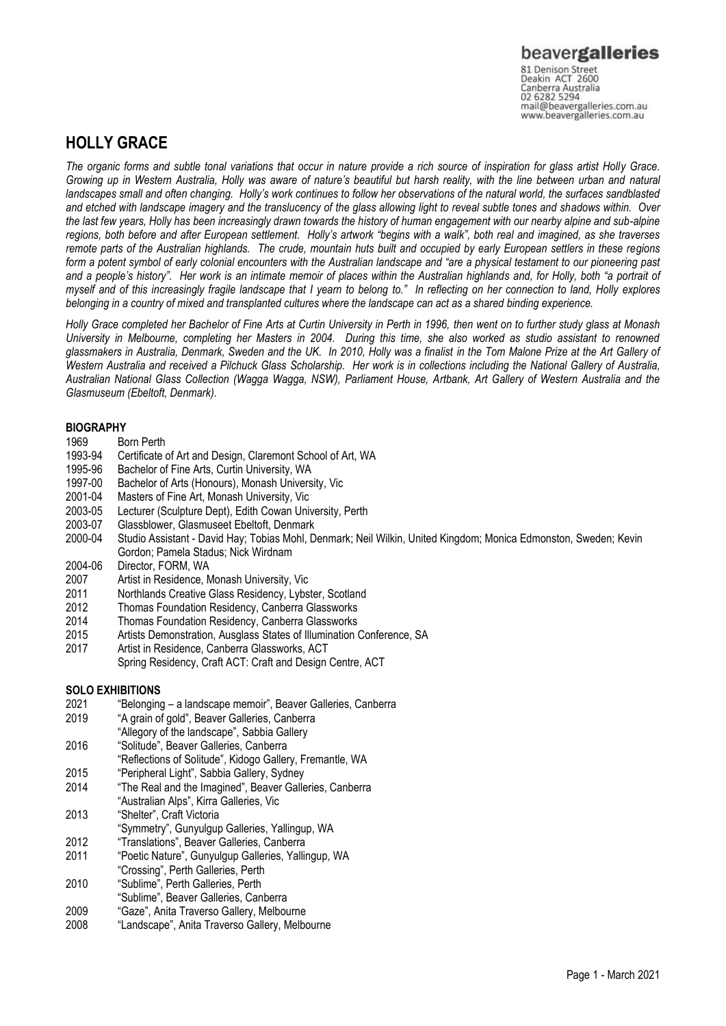81 Denison Street<br>Deakin ACT 2600 Canberra Australia 02 6282 5294 mail@beavergalleries.com.au www.beavergalleries.com.au

### **HOLLY GRACE**

*The organic forms and subtle tonal variations that occur in nature provide a rich source of inspiration for glass artist Holly Grace. Growing up in Western Australia, Holly was aware of nature's beautiful but harsh reality, with the line between urban and natural landscapes small and often changing. Holly's work continues to follow her observations of the natural world, the surfaces sandblasted and etched with landscape imagery and the translucency of the glass allowing light to reveal subtle tones and shadows within. Over the last few years, Holly has been increasingly drawn towards the history of human engagement with our nearby alpine and sub-alpine regions, both before and after European settlement. Holly's artwork "begins with a walk", both real and imagined, as she traverses remote parts of the Australian highlands. The crude, mountain huts built and occupied by early European settlers in these regions form a potent symbol of early colonial encounters with the Australian landscape and "are a physical testament to our pioneering past and a people's history". Her work is an intimate memoir of places within the Australian highlands and, for Holly, both "a portrait of myself and of this increasingly fragile landscape that I yearn to belong to." In reflecting on her connection to land, Holly explores belonging in a country of mixed and transplanted cultures where the landscape can act as a shared binding experience.* 

*Holly Grace completed her Bachelor of Fine Arts at Curtin University in Perth in 1996, then went on to further study glass at Monash University in Melbourne, completing her Masters in 2004. During this time, she also worked as studio assistant to renowned glassmakers in Australia, Denmark, Sweden and the UK. In 2010, Holly was a finalist in the Tom Malone Prize at the Art Gallery of Western Australia and received a Pilchuck Glass Scholarship. Her work is in collections including the National Gallery of Australia, Australian National Glass Collection (Wagga Wagga, NSW), Parliament House, Artbank, Art Gallery of Western Australia and the Glasmuseum (Ebeltoft, Denmark).*

#### **BIOGRAPHY**

- 1969 Born Perth
- 1993-94 Certificate of Art and Design, Claremont School of Art, WA
- 1995-96 Bachelor of Fine Arts, Curtin University, WA
- 1997-00 Bachelor of Arts (Honours), Monash University, Vic
- 2001-04 Masters of Fine Art, Monash University, Vic
- 2003-05 Lecturer (Sculpture Dept), Edith Cowan University, Perth
- 2003-07 Glassblower, Glasmuseet Ebeltoft, Denmark
- Studio Assistant David Hay; Tobias Mohl, Denmark; Neil Wilkin, United Kingdom; Monica Edmonston, Sweden; Kevin Gordon; Pamela Stadus; Nick Wirdnam
- 2004-06 Director, FORM, WA
- 2007 Artist in Residence, Monash University, Vic
- 2011 Northlands Creative Glass Residency, Lybster, Scotland<br>2012 Thomas Foundation Residency, Canberra Glassworks
- Thomas Foundation Residency, Canberra Glassworks
- 2014 Thomas Foundation Residency, Canberra Glassworks
- 2015 Artists Demonstration, Ausglass States of Illumination Conference, SA
- 2017 Artist in Residence, Canberra Glassworks, ACT Spring Residency, Craft ACT: Craft and Design Centre, ACT

### **SOLO EXHIBITIONS**

- 2021 "Belonging a landscape memoir", Beaver Galleries, Canberra
- 2019 "A grain of gold", Beaver Galleries, Canberra
- "Allegory of the landscape", Sabbia Gallery
- 2016 "Solitude", Beaver Galleries, Canberra
- "Reflections of Solitude", Kidogo Gallery, Fremantle, WA
- 2015 "Peripheral Light", Sabbia Gallery, Sydney
- 2014 "The Real and the Imagined", Beaver Galleries, Canberra "Australian Alps", Kirra Galleries, Vic
- 2013 "Shelter", Craft Victoria
- "Symmetry", Gunyulgup Galleries, Yallingup, WA
- 2012 "Translations", Beaver Galleries, Canberra
- 2011 "Poetic Nature", Gunyulgup Galleries, Yallingup, WA
- "Crossing", Perth Galleries, Perth
- 2010 "Sublime", Perth Galleries, Perth
- "Sublime", Beaver Galleries, Canberra
- 2009 "Gaze", Anita Traverso Gallery, Melbourne
- 2008 "Landscape", Anita Traverso Gallery, Melbourne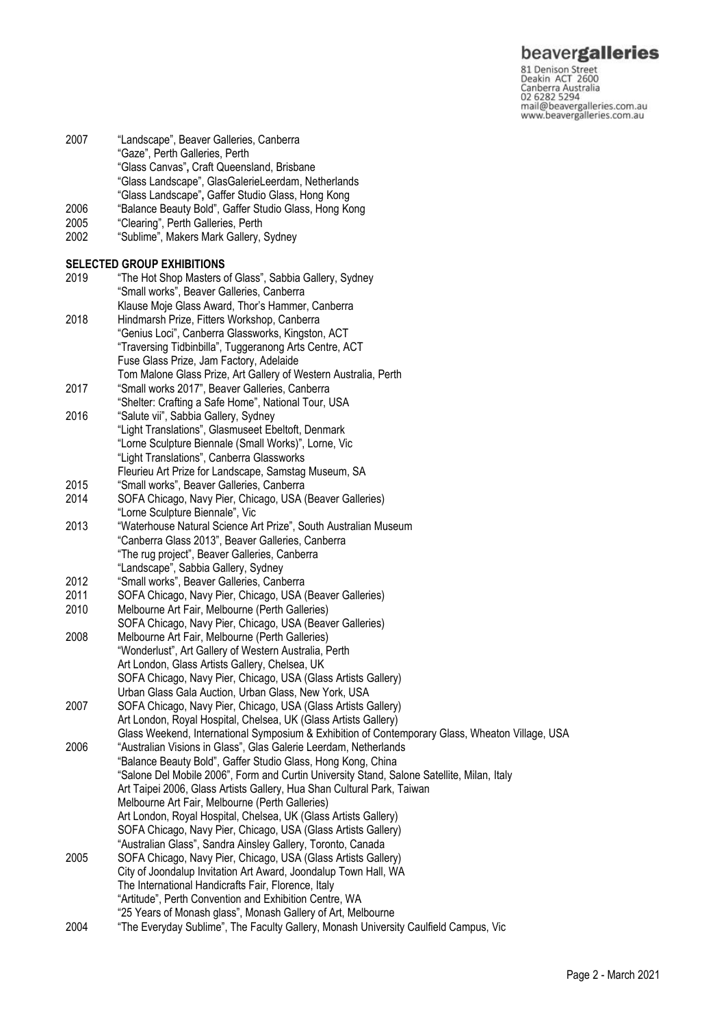## beavergalleries

81 Denison Street<br>Deakin ACT 2600 Canberra Australia 02 6282 5294 mail@beavergalleries.com.au www.beavergalleries.com.au

- 2007 "Landscape", Beaver Galleries, Canberra "Gaze", Perth Galleries, Perth "Glass Canvas"**,** Craft Queensland, Brisbane "Glass Landscape", GlasGalerieLeerdam, Netherlands
	- "Glass Landscape"**,** Gaffer Studio Glass, Hong Kong
- 2006 "Balance Beauty Bold", Gaffer Studio Glass, Hong Kong
- 2005 "Clearing", Perth Galleries, Perth
- "Sublime", Makers Mark Gallery, Sydney

# **SELECTED GROUP EXHIBITIONS**<br>2019 The Hot Shop Masters

"The Hot Shop Masters of Glass", Sabbia Gallery, Sydney "Small works", Beaver Galleries, Canberra Klause Moje Glass Award, Thor's Hammer, Canberra 2018 Hindmarsh Prize, Fitters Workshop, Canberra "Genius Loci", Canberra Glassworks, Kingston, ACT "Traversing Tidbinbilla", Tuggeranong Arts Centre, ACT Fuse Glass Prize, Jam Factory, Adelaide Tom Malone Glass Prize, Art Gallery of Western Australia, Perth 2017 "Small works 2017", Beaver Galleries, Canberra "Shelter: Crafting a Safe Home", National Tour, USA 2016 "Salute vii", Sabbia Gallery, Sydney "Light Translations", Glasmuseet Ebeltoft, Denmark "Lorne Sculpture Biennale (Small Works)", Lorne, Vic "Light Translations", Canberra Glassworks Fleurieu Art Prize for Landscape, Samstag Museum, SA 2015 "Small works", Beaver Galleries, Canberra 2014 SOFA Chicago, Navy Pier, Chicago, USA (Beaver Galleries) "Lorne Sculpture Biennale", Vic 2013 "Waterhouse Natural Science Art Prize", South Australian Museum "Canberra Glass 2013", Beaver Galleries, Canberra "The rug project", Beaver Galleries, Canberra "Landscape", Sabbia Gallery, Sydney 2012 "Small works", Beaver Galleries, Canberra 2011 SOFA Chicago, Navy Pier, Chicago, USA (Beaver Galleries)<br>2010 Melbourne Art Fair, Melbourne (Perth Galleries) Melbourne Art Fair, Melbourne (Perth Galleries) SOFA Chicago, Navy Pier, Chicago, USA (Beaver Galleries) 2008 Melbourne Art Fair, Melbourne (Perth Galleries) "Wonderlust", Art Gallery of Western Australia, Perth Art London, Glass Artists Gallery, Chelsea, UK SOFA Chicago, Navy Pier, Chicago, USA (Glass Artists Gallery) Urban Glass Gala Auction, Urban Glass, New York, USA 2007 SOFA Chicago, Navy Pier, Chicago, USA (Glass Artists Gallery) Art London, Royal Hospital, Chelsea, UK (Glass Artists Gallery) Glass Weekend, International Symposium & Exhibition of Contemporary Glass, Wheaton Village, USA 2006 "Australian Visions in Glass", Glas Galerie Leerdam, Netherlands "Balance Beauty Bold", Gaffer Studio Glass, Hong Kong, China "Salone Del Mobile 2006", Form and Curtin University Stand, Salone Satellite, Milan, Italy Art Taipei 2006, Glass Artists Gallery, Hua Shan Cultural Park, Taiwan Melbourne Art Fair, Melbourne (Perth Galleries) Art London, Royal Hospital, Chelsea, UK (Glass Artists Gallery) SOFA Chicago, Navy Pier, Chicago, USA (Glass Artists Gallery) "Australian Glass", Sandra Ainsley Gallery, Toronto, Canada 2005 SOFA Chicago, Navy Pier, Chicago, USA (Glass Artists Gallery) City of Joondalup Invitation Art Award, Joondalup Town Hall, WA The International Handicrafts Fair, Florence, Italy "Artitude", Perth Convention and Exhibition Centre, WA "25 Years of Monash glass", Monash Gallery of Art, Melbourne 2004 "The Everyday Sublime", The Faculty Gallery, Monash University Caulfield Campus, Vic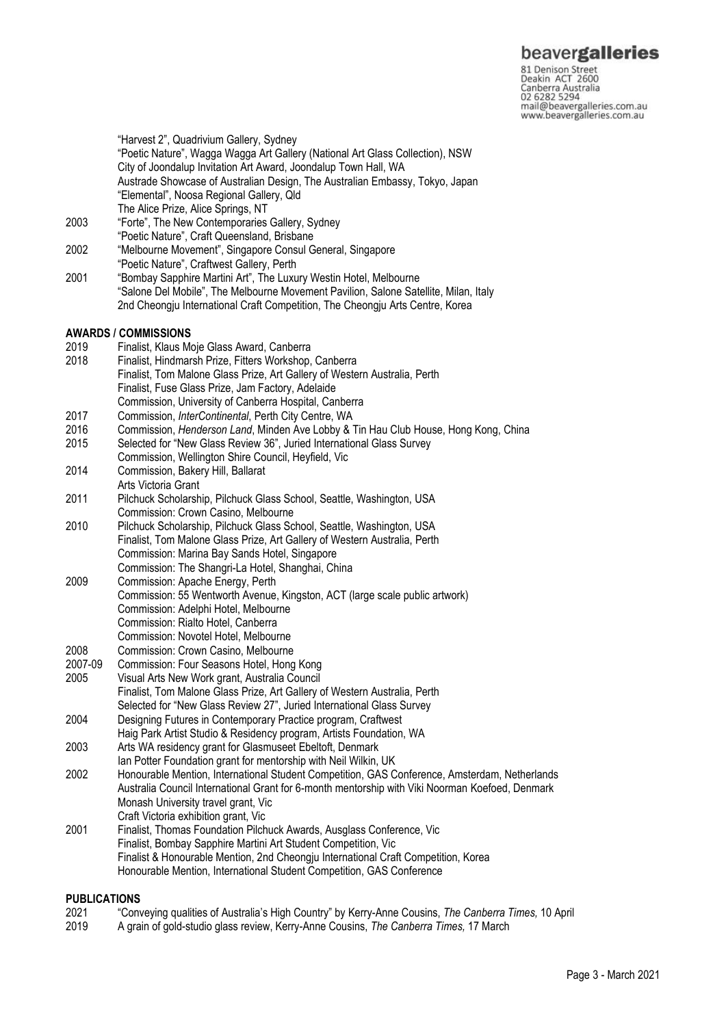81 Denison Street<br>Deakin ACT 2600 Canberra Australia 02 6282 5294 mail@beavergalleries.com.au www.beavergalleries.com.au

"Harvest 2", Quadrivium Gallery, Sydney "Poetic Nature", Wagga Wagga Art Gallery (National Art Glass Collection), NSW City of Joondalup Invitation Art Award, Joondalup Town Hall, WA Austrade Showcase of Australian Design, The Australian Embassy, Tokyo, Japan "Elemental", Noosa Regional Gallery, Qld The Alice Prize, Alice Springs, NT

- 2003 "Forte", The New Contemporaries Gallery, Sydney "Poetic Nature", Craft Queensland, Brisbane
- 2002 "Melbourne Movement", Singapore Consul General, Singapore
- "Poetic Nature", Craftwest Gallery, Perth
- 2001 "Bombay Sapphire Martini Art", The Luxury Westin Hotel, Melbourne "Salone Del Mobile", The Melbourne Movement Pavilion, Salone Satellite, Milan, Italy 2nd Cheongju International Craft Competition, The Cheongju Arts Centre, Korea

# **AWARDS / COMMISSIONS**

- 2019 Finalist, Klaus Moje Glass Award, Canberra
- Finalist, Hindmarsh Prize, Fitters Workshop, Canberra
- Finalist, Tom Malone Glass Prize, Art Gallery of Western Australia, Perth Finalist, Fuse Glass Prize, Jam Factory, Adelaide
- Commission, University of Canberra Hospital, Canberra
- 2017 Commission, *InterContinental*, Perth City Centre, WA
- 2016 Commission, *Henderson Land*, Minden Ave Lobby & Tin Hau Club House, Hong Kong, China
- 2015 Selected for "New Glass Review 36", Juried International Glass Survey
- Commission, Wellington Shire Council, Heyfield, Vic 2014 Commission, Bakery Hill, Ballarat
- Arts Victoria Grant
- 2011 Pilchuck Scholarship, Pilchuck Glass School, Seattle, Washington, USA Commission: Crown Casino, Melbourne
- 2010 Pilchuck Scholarship, Pilchuck Glass School, Seattle, Washington, USA Finalist, Tom Malone Glass Prize, Art Gallery of Western Australia, Perth Commission: Marina Bay Sands Hotel, Singapore Commission: The Shangri-La Hotel, Shanghai, China
- 2009 Commission: Apache Energy, Perth Commission: 55 Wentworth Avenue, Kingston, ACT (large scale public artwork) Commission: Adelphi Hotel, Melbourne Commission: Rialto Hotel, Canberra Commission: Novotel Hotel, Melbourne
- 2008 Commission: Crown Casino, Melbourne
- 2007-09 Commission: Four Seasons Hotel, Hong Kong
- 2005 Visual Arts New Work grant, Australia Council Finalist, Tom Malone Glass Prize, Art Gallery of Western Australia, Perth
- Selected for "New Glass Review 27", Juried International Glass Survey
- 2004 Designing Futures in Contemporary Practice program, Craftwest
- Haig Park Artist Studio & Residency program, Artists Foundation, WA
- 2003 Arts WA residency grant for Glasmuseet Ebeltoft, Denmark
- Ian Potter Foundation grant for mentorship with Neil Wilkin, UK
- 2002 Honourable Mention, International Student Competition, GAS Conference, Amsterdam, Netherlands Australia Council International Grant for 6-month mentorship with Viki Noorman Koefoed, Denmark Monash University travel grant, Vic Craft Victoria exhibition grant, Vic
- 2001 Finalist, Thomas Foundation Pilchuck Awards, Ausglass Conference, Vic Finalist, Bombay Sapphire Martini Art Student Competition, Vic Finalist & Honourable Mention, 2nd Cheongju International Craft Competition, Korea Honourable Mention, International Student Competition, GAS Conference

#### **PUBLICATIONS**

- 2021 "Conveying qualities of Australia's High Country" by Kerry-Anne Cousins, *The Canberra Times,* 10 April
- 2019 A grain of gold-studio glass review, Kerry-Anne Cousins, *The Canberra Times,* 17 March